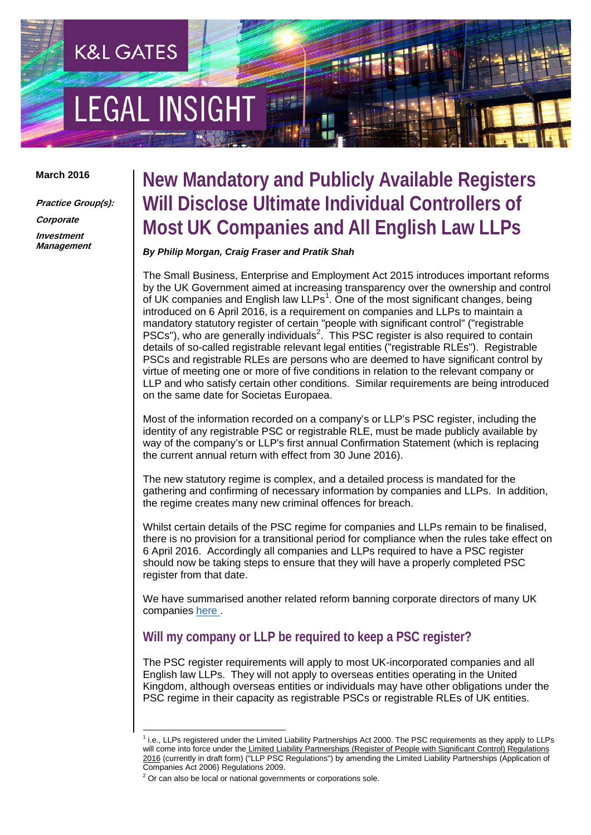# **LEGAL INSIGH**

**K&L GATES** 

#### **March 2016**

**Practice Group(s): Corporate Investment Management** 

# **New Mandatory and Publicly Available Registers Will Disclose Ultimate Individual Controllers of Most UK Companies and All English Law LLPs**

*By Philip Morgan, Craig Fraser and Pratik Shah*

The Small Business, Enterprise and Employment Act 2015 introduces important reforms by the UK Government aimed at increasing transparency over the ownership and control of UK companies and English law LLPs<sup>[1](#page-0-0)</sup>. One of the most significant changes, being introduced on 6 April 2016, is a requirement on companies and LLPs to maintain a mandatory statutory register of certain "people with significant control" ("registrable PSCs"), who are generally individuals<sup>[2](#page-0-1)</sup>. This PSC register is also required to contain details of so-called registrable relevant legal entities ("registrable RLEs"). Registrable PSCs and registrable RLEs are persons who are deemed to have significant control by virtue of meeting one or more of five conditions in relation to the relevant company or LLP and who satisfy certain other conditions. Similar requirements are being introduced on the same date for Societas Europaea.

Most of the information recorded on a company's or LLP's PSC register, including the identity of any registrable PSC or registrable RLE, must be made publicly available by way of the company's or LLP's first annual Confirmation Statement (which is replacing the current annual return with effect from 30 June 2016).

The new statutory regime is complex, and a detailed process is mandated for the gathering and confirming of necessary information by companies and LLPs. In addition, the regime creates many new criminal offences for breach.

Whilst certain details of the PSC regime for companies and LLPs remain to be finalised, there is no provision for a transitional period for compliance when the rules take effect on 6 April 2016. Accordingly all companies and LLPs required to have a PSC register should now be taking steps to ensure that they will have a properly completed PSC register from that date.

We have summarised another related reform banning corporate directors of many UK companies [here](http://www.klgateshub.com/details/?pub=Ban-on-Corporate-Directors-02-23-2016) .

# **Will my company or LLP be required to keep a PSC register?**

The PSC register requirements will apply to most UK-incorporated companies and all English law LLPs. They will not apply to overseas entities operating in the United Kingdom, although overseas entities or individuals may have other obligations under the PSC regime in their capacity as registrable PSCs or registrable RLEs of UK entities.

<span id="page-0-0"></span><sup>&</sup>lt;sup>1</sup> i.e., LLPs registered under the Limited Liability Partnerships Act 2000. The PSC requirements as they apply to LLPs will come into force under the Limited Liability Partnerships (Register of People with Significant Control) Regulations 2016 (currently in draft form) ("LLP PSC Regulations") by amending the Limited Liability Partnerships (Application of Companies Act 2006) Regulations 2009.

<span id="page-0-1"></span> $2$  Or can also be local or national governments or corporations sole.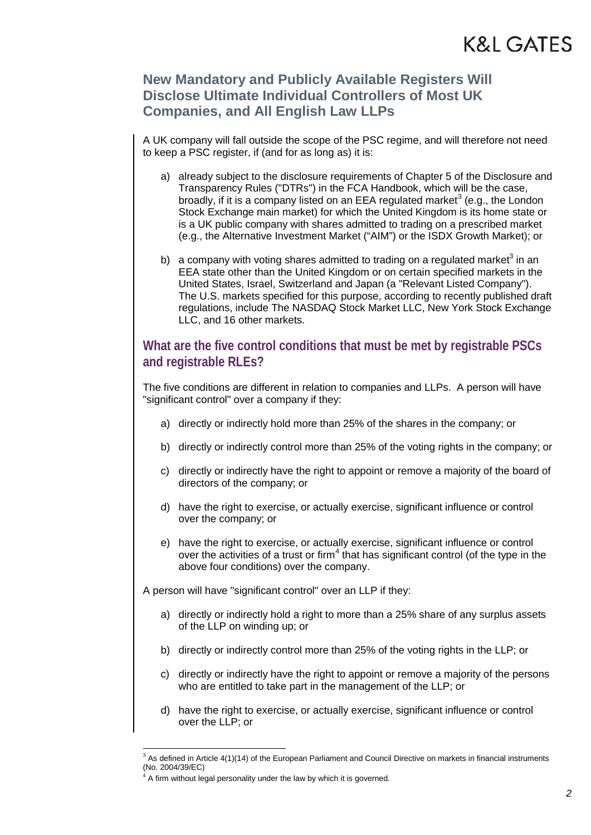### **New Mandatory and Publicly Available Registers Will Disclose Ultimate Individual Controllers of Most UK Companies, and All English Law LLPs**

A UK company will fall outside the scope of the PSC regime, and will therefore not need to keep a PSC register, if (and for as long as) it is:

- a) already subject to the disclosure requirements of Chapter 5 of the Disclosure and Transparency Rules ("DTRs") in the FCA Handbook, which will be the case, broadly, if it is a company listed on an EEA regulated market<sup>[3](#page-1-0)</sup> (e.g., the London Stock Exchange main market) for which the United Kingdom is its home state or is a UK public company with shares admitted to trading on a prescribed market (e.g., the Alternative Investment Market ("AIM") or the ISDX Growth Market); or
- b) a company with voting shares admitted to trading on a regulated market<sup>3</sup> in an EEA state other than the United Kingdom or on certain specified markets in the United States, Israel, Switzerland and Japan (a "Relevant Listed Company"). The U.S. markets specified for this purpose, according to recently published draft regulations, include The NASDAQ Stock Market LLC, New York Stock Exchange LLC, and 16 other markets.

### **What are the five control conditions that must be met by registrable PSCs and registrable RLEs?**

The five conditions are different in relation to companies and LLPs. A person will have "significant control" over a company if they:

- a) directly or indirectly hold more than 25% of the shares in the company; or
- b) directly or indirectly control more than 25% of the voting rights in the company; or
- c) directly or indirectly have the right to appoint or remove a majority of the board of directors of the company; or
- d) have the right to exercise, or actually exercise, significant influence or control over the company; or
- e) have the right to exercise, or actually exercise, significant influence or control over the activities of a trust or firm<sup>[4](#page-1-1)</sup> that has significant control (of the type in the above four conditions) over the company.

A person will have "significant control" over an LLP if they:

- a) directly or indirectly hold a right to more than a 25% share of any surplus assets of the LLP on winding up; or
- b) directly or indirectly control more than 25% of the voting rights in the LLP; or
- c) directly or indirectly have the right to appoint or remove a majority of the persons who are entitled to take part in the management of the LLP; or
- d) have the right to exercise, or actually exercise, significant influence or control over the LLP; or

<span id="page-1-1"></span><span id="page-1-0"></span> $3$  As defined in Article 4(1)(14) of the European Parliament and Council Directive on markets in financial instruments (No. 2004/39/EC)

 $4$  A firm without legal personality under the law by which it is governed.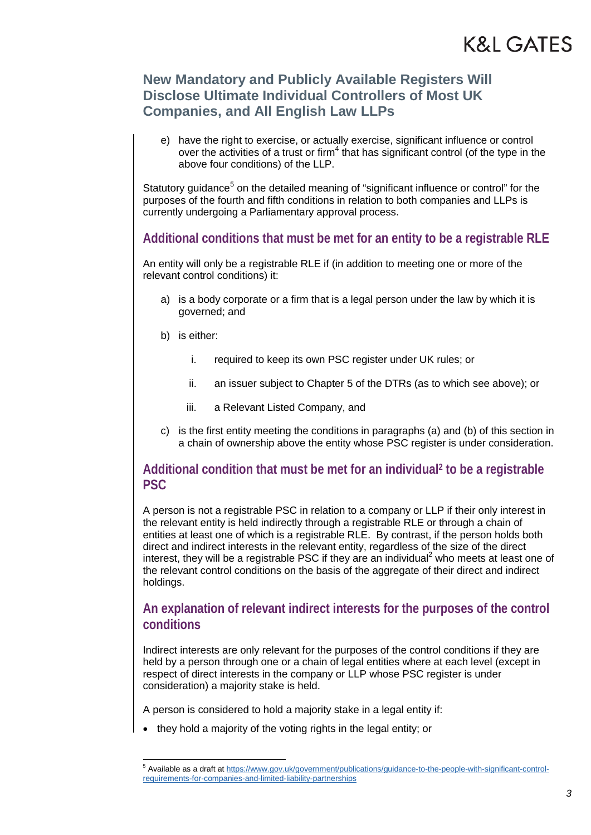e) have the right to exercise, or actually exercise, significant influence or control over the activities of a trust or firm<sup>4</sup> that has significant control (of the type in the above four conditions) of the LLP.

Statutory guidance<sup>[5](#page-2-0)</sup> on the detailed meaning of "significant influence or control" for the purposes of the fourth and fifth conditions in relation to both companies and LLPs is currently undergoing a Parliamentary approval process.

### **Additional conditions that must be met for an entity to be a registrable RLE**

An entity will only be a registrable RLE if (in addition to meeting one or more of the relevant control conditions) it:

- a) is a body corporate or a firm that is a legal person under the law by which it is governed; and
- b) is either:
	- i. required to keep its own PSC register under UK rules; or
	- ii. an issuer subject to Chapter 5 of the DTRs (as to which see above); or
	- iii. a Relevant Listed Company, and
- c) is the first entity meeting the conditions in paragraphs (a) and (b) of this section in a chain of ownership above the entity whose PSC register is under consideration.

### **Additional condition that must be met for an individual2 to be a registrable PSC**

A person is not a registrable PSC in relation to a company or LLP if their only interest in the relevant entity is held indirectly through a registrable RLE or through a chain of entities at least one of which is a registrable RLE. By contrast, if the person holds both direct and indirect interests in the relevant entity, regardless of the size of the direct interest, they will be a registrable PSC if they are an individual<sup>2</sup> who meets at least one of the relevant control conditions on the basis of the aggregate of their direct and indirect holdings.

### **An explanation of relevant indirect interests for the purposes of the control conditions**

Indirect interests are only relevant for the purposes of the control conditions if they are held by a person through one or a chain of legal entities where at each level (except in respect of direct interests in the company or LLP whose PSC register is under consideration) a majority stake is held.

A person is considered to hold a majority stake in a legal entity if:

• they hold a majority of the voting rights in the legal entity; or

<span id="page-2-0"></span><sup>5</sup> Available as a draft a[t https://www.gov.uk/government/publications/guidance-to-the-people-with-significant-control](https://www.gov.uk/government/publications/guidance-to-the-people-with-significant-control-requirements-for-companies-and-limited-liability-partnerships)[requirements-for-companies-and-limited-liability-partnerships](https://www.gov.uk/government/publications/guidance-to-the-people-with-significant-control-requirements-for-companies-and-limited-liability-partnerships)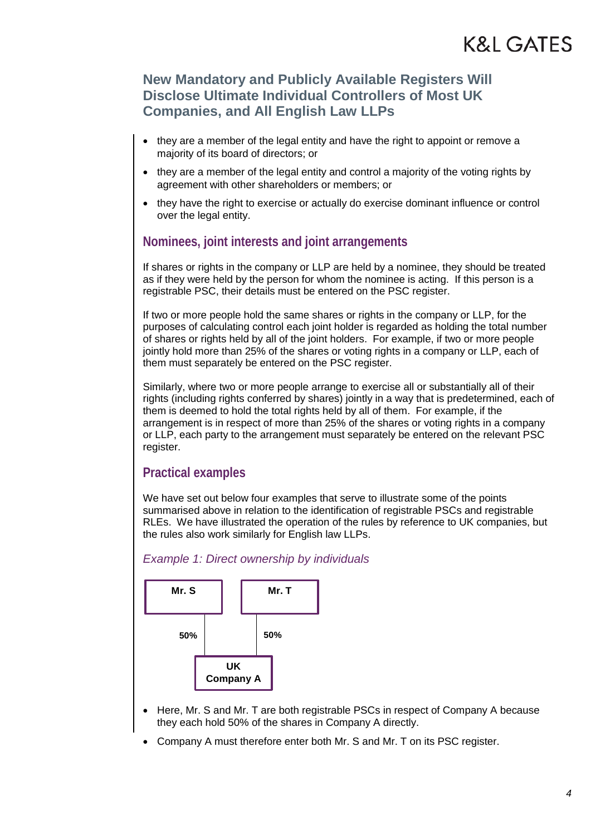- they are a member of the legal entity and have the right to appoint or remove a majority of its board of directors; or
- they are a member of the legal entity and control a majority of the voting rights by agreement with other shareholders or members; or
- they have the right to exercise or actually do exercise dominant influence or control over the legal entity.

### **Nominees, joint interests and joint arrangements**

If shares or rights in the company or LLP are held by a nominee, they should be treated as if they were held by the person for whom the nominee is acting. If this person is a registrable PSC, their details must be entered on the PSC register.

If two or more people hold the same shares or rights in the company or LLP, for the purposes of calculating control each joint holder is regarded as holding the total number of shares or rights held by all of the joint holders. For example, if two or more people jointly hold more than 25% of the shares or voting rights in a company or LLP, each of them must separately be entered on the PSC register.

Similarly, where two or more people arrange to exercise all or substantially all of their rights (including rights conferred by shares) jointly in a way that is predetermined, each of them is deemed to hold the total rights held by all of them. For example, if the arrangement is in respect of more than 25% of the shares or voting rights in a company or LLP, each party to the arrangement must separately be entered on the relevant PSC register.

### **Practical examples**

We have set out below four examples that serve to illustrate some of the points summarised above in relation to the identification of registrable PSCs and registrable RLEs. We have illustrated the operation of the rules by reference to UK companies, but the rules also work similarly for English law LLPs.

#### *Example 1: Direct ownership by individuals*



- Here, Mr. S and Mr. T are both registrable PSCs in respect of Company A because they each hold 50% of the shares in Company A directly.
- Company A must therefore enter both Mr. S and Mr. T on its PSC register.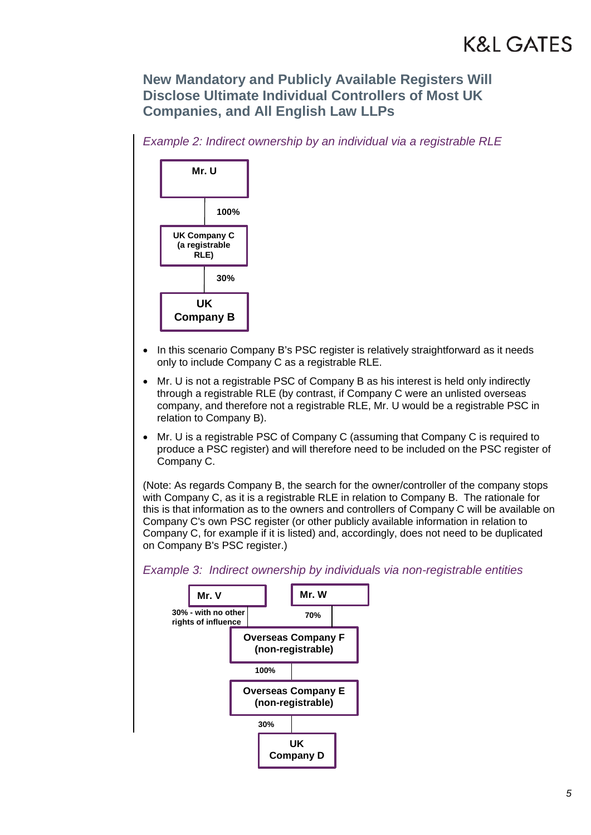# **New Mandatory and Publicly Available Registers Will Disclose Ultimate Individual Controllers of Most UK Companies, and All English Law LLPs**

*Example 2: Indirect ownership by an individual via a registrable RLE*



- In this scenario Company B's PSC register is relatively straightforward as it needs only to include Company C as a registrable RLE.
- Mr. U is not a registrable PSC of Company B as his interest is held only indirectly through a registrable RLE (by contrast, if Company C were an unlisted overseas company, and therefore not a registrable RLE, Mr. U would be a registrable PSC in relation to Company B).
- Mr. U is a registrable PSC of Company C (assuming that Company C is required to produce a PSC register) and will therefore need to be included on the PSC register of Company C.

(Note: As regards Company B, the search for the owner/controller of the company stops with Company C, as it is a registrable RLE in relation to Company B. The rationale for this is that information as to the owners and controllers of Company C will be available on Company C's own PSC register (or other publicly available information in relation to Company C, for example if it is listed) and, accordingly, does not need to be duplicated on Company B's PSC register.)

*Example 3: Indirect ownership by individuals via non-registrable entities*

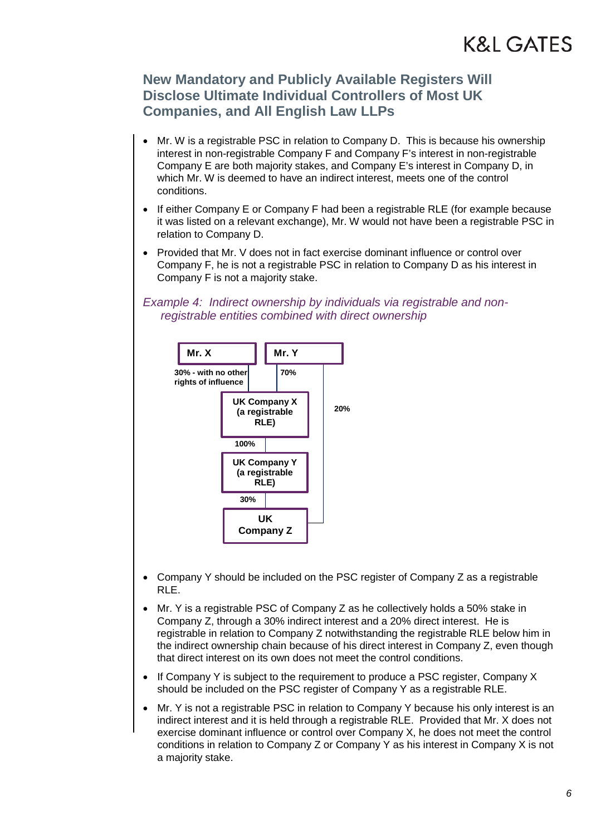### **New Mandatory and Publicly Available Registers Will Disclose Ultimate Individual Controllers of Most UK Companies, and All English Law LLPs**

- Mr. W is a registrable PSC in relation to Company D. This is because his ownership interest in non-registrable Company F and Company F's interest in non-registrable Company E are both majority stakes, and Company E's interest in Company D, in which Mr. W is deemed to have an indirect interest, meets one of the control conditions.
- If either Company E or Company F had been a registrable RLE (for example because it was listed on a relevant exchange), Mr. W would not have been a registrable PSC in relation to Company D.
- Provided that Mr. V does not in fact exercise dominant influence or control over Company F, he is not a registrable PSC in relation to Company D as his interest in Company F is not a majority stake.

*Example 4: Indirect ownership by individuals via registrable and nonregistrable entities combined with direct ownership*



- Company Y should be included on the PSC register of Company Z as a registrable RLE.
- Mr. Y is a registrable PSC of Company Z as he collectively holds a 50% stake in Company Z, through a 30% indirect interest and a 20% direct interest. He is registrable in relation to Company Z notwithstanding the registrable RLE below him in the indirect ownership chain because of his direct interest in Company Z, even though that direct interest on its own does not meet the control conditions.
- If Company Y is subject to the requirement to produce a PSC register, Company X should be included on the PSC register of Company Y as a registrable RLE.
- Mr. Y is not a registrable PSC in relation to Company Y because his only interest is an indirect interest and it is held through a registrable RLE. Provided that Mr. X does not exercise dominant influence or control over Company X, he does not meet the control conditions in relation to Company Z or Company Y as his interest in Company X is not a majority stake.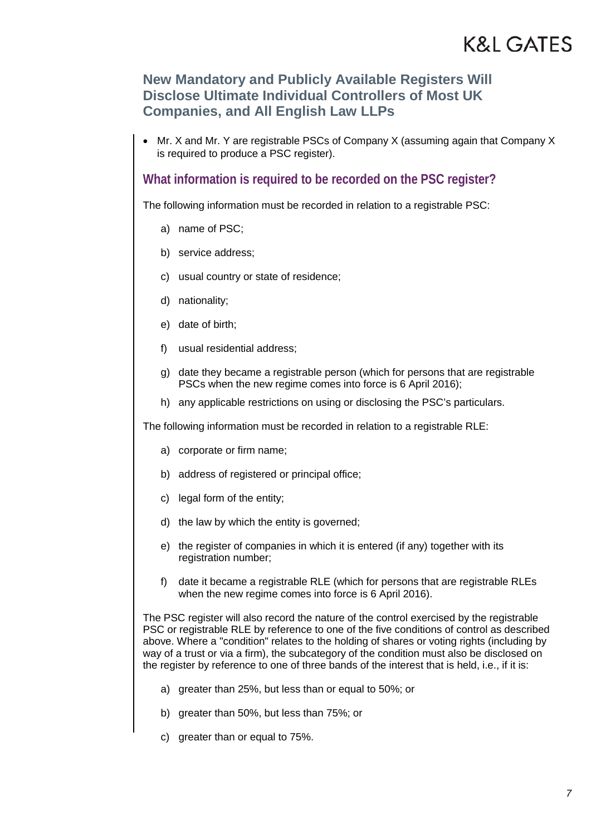### **New Mandatory and Publicly Available Registers Will Disclose Ultimate Individual Controllers of Most UK Companies, and All English Law LLPs**

• Mr. X and Mr. Y are registrable PSCs of Company X (assuming again that Company X is required to produce a PSC register).

### **What information is required to be recorded on the PSC register?**

The following information must be recorded in relation to a registrable PSC:

- a) name of PSC;
- b) service address;
- c) usual country or state of residence;
- d) nationality;
- e) date of birth;
- f) usual residential address;
- g) date they became a registrable person (which for persons that are registrable PSCs when the new regime comes into force is 6 April 2016);
- h) any applicable restrictions on using or disclosing the PSC's particulars.

The following information must be recorded in relation to a registrable RLE:

- a) corporate or firm name;
- b) address of registered or principal office;
- c) legal form of the entity;
- d) the law by which the entity is governed;
- e) the register of companies in which it is entered (if any) together with its registration number;
- f) date it became a registrable RLE (which for persons that are registrable RLEs when the new regime comes into force is 6 April 2016).

The PSC register will also record the nature of the control exercised by the registrable PSC or registrable RLE by reference to one of the five conditions of control as described above. Where a "condition" relates to the holding of shares or voting rights (including by way of a trust or via a firm), the subcategory of the condition must also be disclosed on the register by reference to one of three bands of the interest that is held, i.e., if it is:

- a) greater than 25%, but less than or equal to 50%; or
- b) greater than 50%, but less than 75%; or
- c) greater than or equal to 75%.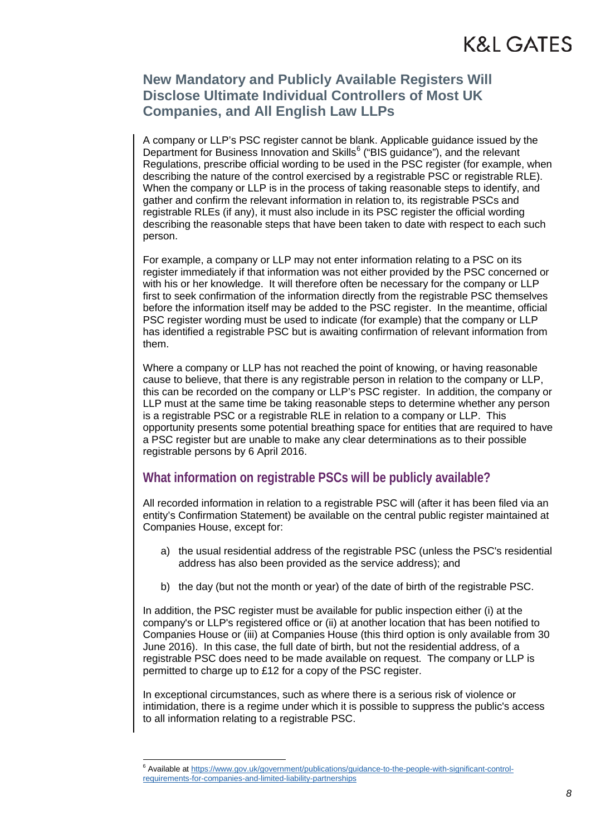A company or LLP's PSC register cannot be blank. Applicable guidance issued by the Department for Business Innovation and Skills<sup>[6](#page-7-0)</sup> ("BIS guidance"), and the relevant Regulations, prescribe official wording to be used in the PSC register (for example, when describing the nature of the control exercised by a registrable PSC or registrable RLE). When the company or LLP is in the process of taking reasonable steps to identify, and gather and confirm the relevant information in relation to, its registrable PSCs and registrable RLEs (if any), it must also include in its PSC register the official wording describing the reasonable steps that have been taken to date with respect to each such person.

For example, a company or LLP may not enter information relating to a PSC on its register immediately if that information was not either provided by the PSC concerned or with his or her knowledge. It will therefore often be necessary for the company or LLP first to seek confirmation of the information directly from the registrable PSC themselves before the information itself may be added to the PSC register. In the meantime, official PSC register wording must be used to indicate (for example) that the company or LLP has identified a registrable PSC but is awaiting confirmation of relevant information from them.

Where a company or LLP has not reached the point of knowing, or having reasonable cause to believe, that there is any registrable person in relation to the company or LLP, this can be recorded on the company or LLP's PSC register. In addition, the company or LLP must at the same time be taking reasonable steps to determine whether any person is a registrable PSC or a registrable RLE in relation to a company or LLP. This opportunity presents some potential breathing space for entities that are required to have a PSC register but are unable to make any clear determinations as to their possible registrable persons by 6 April 2016.

### **What information on registrable PSCs will be publicly available?**

All recorded information in relation to a registrable PSC will (after it has been filed via an entity's Confirmation Statement) be available on the central public register maintained at Companies House, except for:

- a) the usual residential address of the registrable PSC (unless the PSC's residential address has also been provided as the service address); and
- b) the day (but not the month or year) of the date of birth of the registrable PSC.

In addition, the PSC register must be available for public inspection either (i) at the company's or LLP's registered office or (ii) at another location that has been notified to Companies House or (iii) at Companies House (this third option is only available from 30 June 2016). In this case, the full date of birth, but not the residential address, of a registrable PSC does need to be made available on request. The company or LLP is permitted to charge up to £12 for a copy of the PSC register.

In exceptional circumstances, such as where there is a serious risk of violence or intimidation, there is a regime under which it is possible to suppress the public's access to all information relating to a registrable PSC.

<span id="page-7-0"></span><sup>6</sup> Available a[t https://www.gov.uk/government/publications/guidance-to-the-people-with-significant-control](https://www.gov.uk/government/publications/guidance-to-the-people-with-significant-control-requirements-for-companies-and-limited-liability-partnerships)[requirements-for-companies-and-limited-liability-partnerships](https://www.gov.uk/government/publications/guidance-to-the-people-with-significant-control-requirements-for-companies-and-limited-liability-partnerships)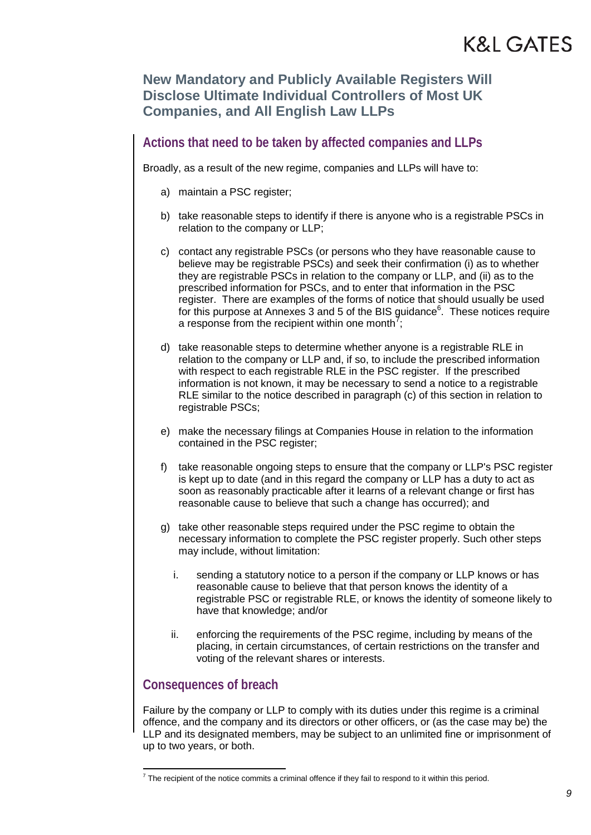### **Actions that need to be taken by affected companies and LLPs**

Broadly, as a result of the new regime, companies and LLPs will have to:

- a) maintain a PSC register;
- b) take reasonable steps to identify if there is anyone who is a registrable PSCs in relation to the company or LLP;
- c) contact any registrable PSCs (or persons who they have reasonable cause to believe may be registrable PSCs) and seek their confirmation (i) as to whether they are registrable PSCs in relation to the company or LLP, and (ii) as to the prescribed information for PSCs, and to enter that information in the PSC register. There are examples of the forms of notice that should usually be used for this purpose at Annexes 3 and 5 of the BIS guidance<sup>6</sup>. These notices require a response from the recipient within one month<sup>[7](#page-8-0)</sup>;
- d) take reasonable steps to determine whether anyone is a registrable RLE in relation to the company or LLP and, if so, to include the prescribed information with respect to each registrable RLE in the PSC register. If the prescribed information is not known, it may be necessary to send a notice to a registrable RLE similar to the notice described in paragraph (c) of this section in relation to registrable PSCs;
- e) make the necessary filings at Companies House in relation to the information contained in the PSC register;
- f) take reasonable ongoing steps to ensure that the company or LLP's PSC register is kept up to date (and in this regard the company or LLP has a duty to act as soon as reasonably practicable after it learns of a relevant change or first has reasonable cause to believe that such a change has occurred); and
- g) take other reasonable steps required under the PSC regime to obtain the necessary information to complete the PSC register properly. Such other steps may include, without limitation:
	- i. sending a statutory notice to a person if the company or LLP knows or has reasonable cause to believe that that person knows the identity of a registrable PSC or registrable RLE, or knows the identity of someone likely to have that knowledge; and/or
	- ii. enforcing the requirements of the PSC regime, including by means of the placing, in certain circumstances, of certain restrictions on the transfer and voting of the relevant shares or interests.

### **Consequences of breach**

Failure by the company or LLP to comply with its duties under this regime is a criminal offence, and the company and its directors or other officers, or (as the case may be) the LLP and its designated members, may be subject to an unlimited fine or imprisonment of up to two years, or both.

<span id="page-8-0"></span> $7$  The recipient of the notice commits a criminal offence if they fail to respond to it within this period.